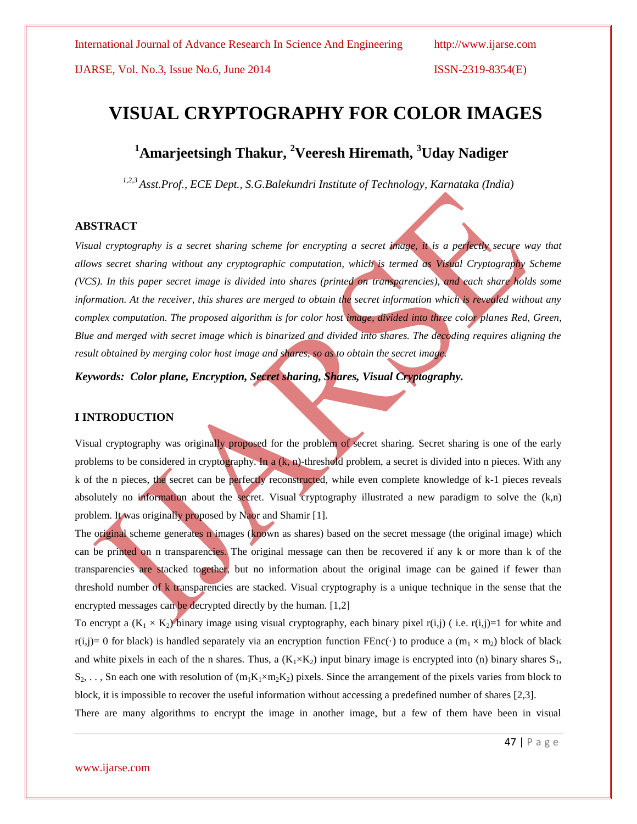IJARSE, Vol. No.3, Issue No.6, June 2014 ISSN-2319-8354(E)

# **VISUAL CRYPTOGRAPHY FOR COLOR IMAGES**

# **<sup>1</sup>Amarjeetsingh Thakur, <sup>2</sup>Veeresh Hiremath, <sup>3</sup>Uday Nadiger**

*1,2,3 Asst.Prof., ECE Dept., S.G.Balekundri Institute of Technology, Karnataka (India)*

# **ABSTRACT**

*Visual cryptography is a secret sharing scheme for encrypting a secret image, it is a perfectly secure way that allows secret sharing without any cryptographic computation, which is termed as Visual Cryptography Scheme (VCS). In this paper secret image is divided into shares (printed on transparencies), and each share holds some information. At the receiver, this shares are merged to obtain the secret information which is revealed without any complex computation. The proposed algorithm is for color host image, divided into three color planes Red, Green, Blue and merged with secret image which is binarized and divided into shares. The decoding requires aligning the result obtained by merging color host image and shares, so as to obtain the secret image.*

*Keywords: Color plane, Encryption, Secret sharing, Shares, Visual Cryptography.*

# **I INTRODUCTION**

Visual cryptography was originally proposed for the problem of secret sharing. Secret sharing is one of the early problems to be considered in cryptography. In a  $(k, n)$ -threshold problem, a secret is divided into n pieces. With any k of the n pieces, the secret can be perfectly reconstructed, while even complete knowledge of k-1 pieces reveals absolutely no information about the secret. Visual cryptography illustrated a new paradigm to solve the (k,n) problem. It was originally proposed by Naor and Shamir [1].

The original scheme generates n images (known as shares) based on the secret message (the original image) which can be printed on n transparencies. The original message can then be recovered if any k or more than k of the transparencies are stacked together, but no information about the original image can be gained if fewer than threshold number of k transparencies are stacked. Visual cryptography is a unique technique in the sense that the encrypted messages can be decrypted directly by the human. [1,2]

To encrypt a  $(K_1 \times K_2)$  binary image using visual cryptography, each binary pixel r(i,j) (i.e. r(i,j)=1 for white and r(i,j)= 0 for black) is handled separately via an encryption function FEnc(·) to produce a (m<sub>1</sub> × m<sub>2</sub>) block of black and white pixels in each of the n shares. Thus, a  $(K_1\times K_2)$  input binary image is encrypted into (n) binary shares  $S_1$ ,  $S_2, \ldots, S_n$  each one with resolution of  $(m_1K_1 \times m_2K_2)$  pixels. Since the arrangement of the pixels varies from block to block, it is impossible to recover the useful information without accessing a predefined number of shares [2,3]. There are many algorithms to encrypt the image in another image, but a few of them have been in visual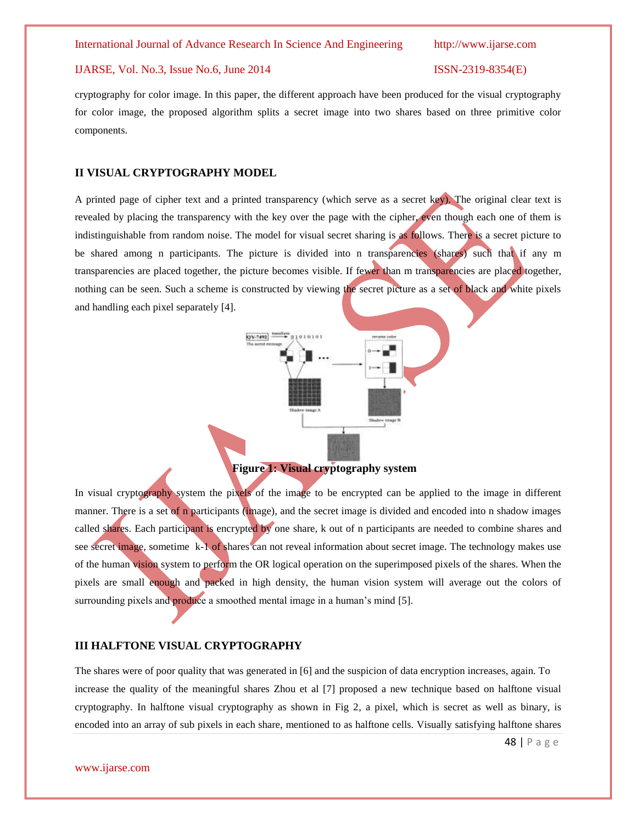# IJARSE, Vol. No.3, Issue No.6, June 2014 ISSN-2319-8354(E)

cryptography for color image. In this paper, the different approach have been produced for the visual cryptography for color image, the proposed algorithm splits a secret image into two shares based on three primitive color components.

#### **II VISUAL CRYPTOGRAPHY MODEL**

A printed page of cipher text and a printed transparency (which serve as a secret key). The original clear text is revealed by placing the transparency with the key over the page with the cipher, even though each one of them is indistinguishable from random noise. The model for visual secret sharing is as follows. There is a secret picture to be shared among n participants. The picture is divided into n transparencies (shares) such that if any m transparencies are placed together, the picture becomes visible. If fewer than m transparencies are placed together, nothing can be seen. Such a scheme is constructed by viewing the secret picture as a set of black and white pixels and handling each pixel separately [4].

QV-7492



**Figure 1: Visual cryptography system**

In visual cryptography system the pixels of the image to be encrypted can be applied to the image in different manner. There is a set of n participants (image), and the secret image is divided and encoded into n shadow images called shares. Each participant is encrypted by one share, k out of n participants are needed to combine shares and see secret image, sometime k-1 of shares can not reveal information about secret image. The technology makes use of the human vision system to perform the OR logical operation on the superimposed pixels of the shares. When the pixels are small enough and packed in high density, the human vision system will average out the colors of surrounding pixels and **produce** a smoothed mental image in a human's mind [5].

# **III HALFTONE VISUAL CRYPTOGRAPHY**

The shares were of poor quality that was generated in [6] and the suspicion of data encryption increases, again. To increase the quality of the meaningful shares Zhou et al [7] proposed a new technique based on halftone visual cryptography. In halftone visual cryptography as shown in Fig 2, a pixel, which is secret as well as binary, is encoded into an array of sub pixels in each share, mentioned to as halftone cells. Visually satisfying halftone shares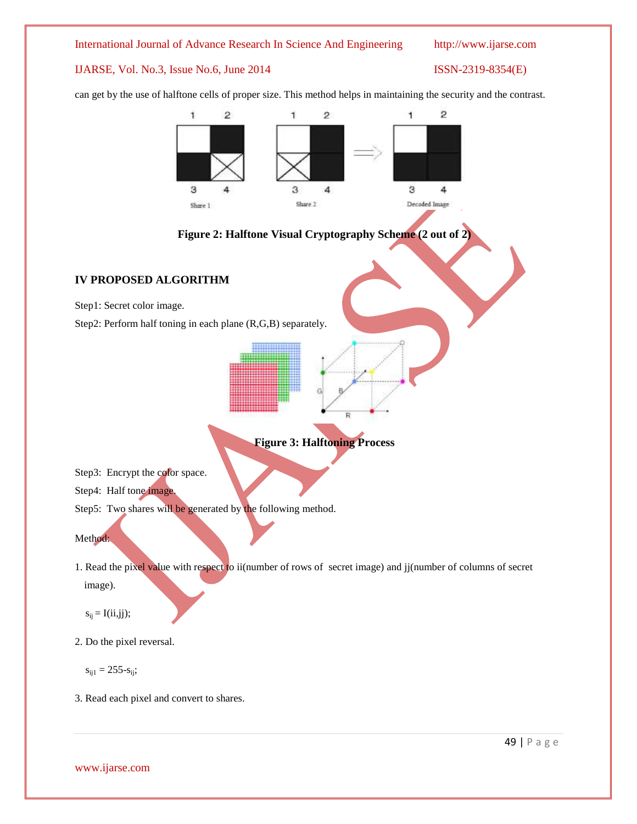### International Journal of Advance Research In Science And Engineering http://www.ijarse.com

# IJARSE, Vol. No.3, Issue No.6, June 2014 ISSN-2319-8354(E)

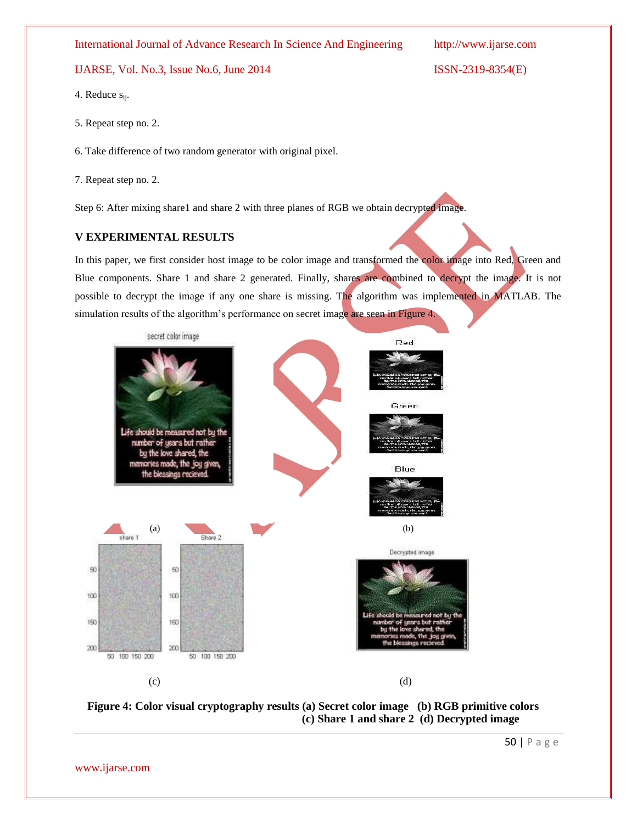International Journal of Advance Research In Science And Engineering http://www.ijarse.com

# IJARSE, Vol. No.3, Issue No.6, June 2014 ISSN-2319-8354(E)

4. Reduce s<sub>ij</sub>.

5. Repeat step no. 2.

6. Take difference of two random generator with original pixel.

7. Repeat step no. 2.

Step 6: After mixing share1 and share 2 with three planes of RGB we obtain decrypted image.

# **V EXPERIMENTAL RESULTS**

In this paper, we first consider host image to be color image and transformed the color image into Red, Green and Blue components. Share 1 and share 2 generated. Finally, shares are combined to decrypt the image. It is not possible to decrypt the image if any one share is missing. The algorithm was implemented in MATLAB. The simulation results of the algorithm's performance on secret image are seen in Figure 4.





50 | P a g e